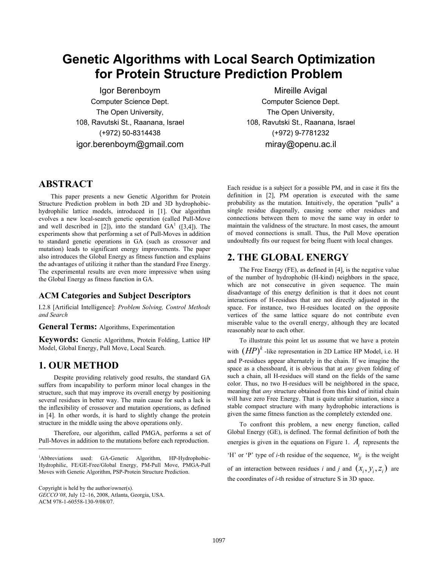# **Genetic Algorithms with Local Search Optimization for Protein Structure Prediction Problem**

Igor Berenboym Computer Science Dept. The Open University, 108, Ravutski St., Raanana, Israel (+972) 50-8314438 igor.berenboym@gmail.com

# Mireille Avigal

Computer Science Dept. The Open University, 108, Ravutski St., Raanana, Israel (+972) 9-7781232 miray@openu.ac.il

## **ABSTRACT**

This paper presents a new Genetic Algorithm for Protein Structure Prediction problem in both 2D and 3D hydrophobichydrophilic lattice models, introduced in [1]. Our algorithm evolves a new local-search genetic operation (called Pull-Move and well described in [2]), into the standard  $GA<sup>1</sup>$  ([3,4]). The experiments show that performing a set of Pull-Moves in addition to standard genetic operations in GA (such as crossover and mutation) leads to significant energy improvements. The paper also introduces the Global Energy as fitness function and explains the advantages of utilizing it rather than the standard Free Energy. The experimental results are even more impressive when using the Global Energy as fitness function in GA.

#### **ACM Categories and Subject Descriptors**

I.2.8 [Artificial Intelligence]: *Problem Solving, Control Methods and Search* 

**General Terms:** Algorithms, Experimentation

**Keywords:** Genetic Algorithms, Protein Folding, Lattice HP Model, Global Energy, Pull Move, Local Search.

# **1. OUR METHOD**

Despite providing relatively good results, the standard GA suffers from incapability to perform minor local changes in the structure, such that may improve its overall energy by positioning several residues in better way. The main cause for such a lack is the inflexibility of crossover and mutation operations, as defined in [4]. In other words, it is hard to slightly change the protein structure in the middle using the above operations only.

Therefore, our algorithm, called PMGA, performs a set of Pull-Moves in addition to the mutations before each reproduction.

Copyright is held by the author/owner(s).

1

*GECCO'08*, July 12–16, 2008, Atlanta, Georgia, USA. ACM 978-1-60558-130-9/08/07.

Each residue is a subject for a possible PM, and in case it fits the definition in [2], PM operation is executed with the same probability as the mutation. Intuitively, the operation "pulls" a single residue diagonally, causing some other residues and connections between them to move the same way in order to maintain the validness of the structure. In most cases, the amount of moved connections is small. Thus, the Pull Move operation undoubtedly fits our request for being fluent with local changes.

# **2. THE GLOBAL ENERGY**

The Free Energy (FE), as defined in [4], is the negative value of the number of hydrophobic (H-kind) neighbors in the space, which are not consecutive in given sequence. The main disadvantage of this energy definition is that it does not count interactions of H-residues that are not directly adjusted in the space. For instance, two H-residues located on the opposite vertices of the same lattice square do not contribute even miserable value to the overall energy, although they are located reasonably near to each other.

To illustrate this point let us assume that we have a protein

with  $(HP)^k$  -like representation in 2D Lattice HP Model, i.e. H and P-residues appear alternately in the chain. If we imagine the space as a chessboard, it is obvious that at *any* given folding of such a chain, all H-residues will stand on the fields of the same color. Thus, no two H-residues will be neighbored in the space, meaning that *any* structure obtained from this kind of initial chain will have zero Free Energy. That is quite unfair situation, since a stable compact structure with many hydrophobic interactions is given the same fitness function as the completely extended one.

To confront this problem, a new energy function, called Global Energy (GE), is defined. The formal definition of both the energies is given in the equations on Figure 1. *Ai* represents the 'H' or 'P' type of *i*-th residue of the sequence,  $W_{ij}$  is the weight of an interaction between residues *i* and *j* and  $(x_i, y_i, z_i)$  are the coordinates of *i*-th residue of structure S in 3D space.

<sup>&</sup>lt;sup>1</sup>Abbreviations used: GA-Genetic Algorithm, HP-Hydrophobic-Hydrophilic, FE/GE-Free/Global Energy, PM-Pull Move, PMGA-Pull Moves with Genetic Algorithm, PSP-Protein Structure Prediction.